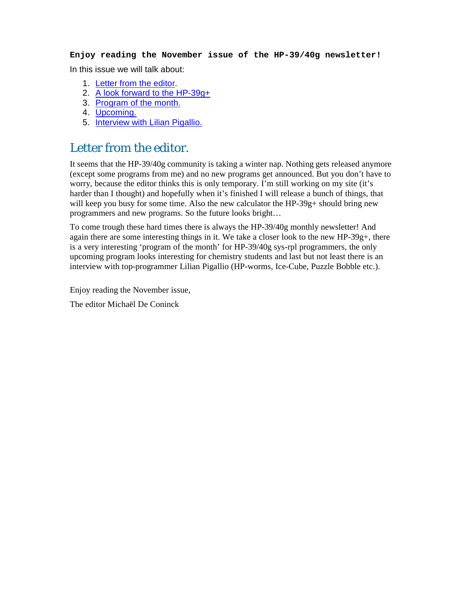#### **Enjoy reading the November issue of the HP-39/40g newsletter!**

In this issue we will talk about:

- 1. Letter from the editor.
- 2. A look forward to the HP-39g+
- 3. Program of the month.
- 4. Upcoming.
- 5. Interview with Lilian Pigallio.

### Letter from the editor.

It seems that the HP-39/40g community is taking a winter nap. Nothing gets released anymore (except some programs from me) and no new programs get announced. But you don't have to worry, because the editor thinks this is only temporary. I'm still working on my site (it's harder than I thought) and hopefully when it's finished I will release a bunch of things, that will keep you busy for some time. Also the new calculator the HP-39g+ should bring new programmers and new programs. So the future looks bright…

To come trough these hard times there is always the HP-39/40g monthly newsletter! And again there are some interesting things in it. We take a closer look to the new HP-39g+, there is a very interesting 'program of the month' for HP-39/40g sys-rpl programmers, the only upcoming program looks interesting for chemistry students and last but not least there is an interview with top-programmer Lilian Pigallio (HP-worms, Ice-Cube, Puzzle Bobble etc.).

Enjoy reading the November issue,

The editor Michaël De Coninck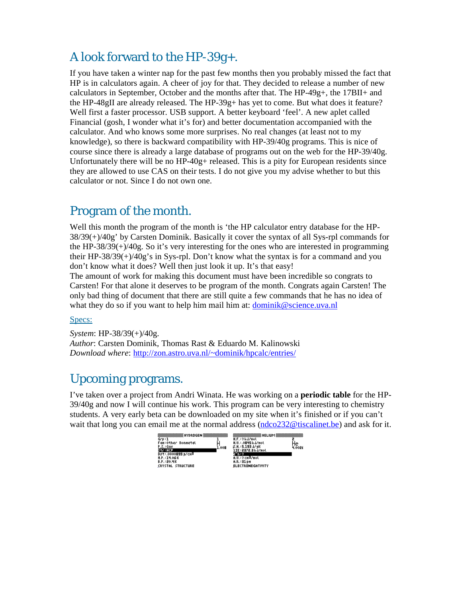## A look forward to the HP-39g+.

If you have taken a winter nap for the past few months then you probably missed the fact that HP is in calculators again. A cheer of joy for that. They decided to release a number of new calculators in September, October and the months after that. The HP-49g+, the 17BII+ and the HP-48gII are already released. The HP-39g+ has yet to come. But what does it feature? Well first a faster processor. USB support. A better keyboard 'feel'. A new aplet called Financial (gosh, I wonder what it's for) and better documentation accompanied with the calculator. And who knows some more surprises. No real changes (at least not to my knowledge), so there is backward compatibility with HP-39/40g programs. This is nice of course since there is already a large database of programs out on the web for the HP-39/40g. Unfortunately there will be no  $HP-40g+$  released. This is a pity for European residents since they are allowed to use CAS on their tests. I do not give you my advise whether to but this calculator or not. Since I do not own one.

### Program of the month.

Well this month the program of the month is 'the HP calculator entry database for the HP-38/39(+)/40g' by Carsten Dominik. Basically it cover the syntax of all Sys-rpl commands for the HP-38/39(+)/40g. So it's very interesting for the ones who are interested in programming their HP-38/39(+)/40g's in Sys-rpl. Don't know what the syntax is for a command and you don't know what it does? Well then just look it up. It's that easy!

The amount of work for making this document must have been incredible so congrats to Carsten! For that alone it deserves to be program of the month. Congrats again Carsten! The only bad thing of document that there are still quite a few commands that he has no idea of what they do so if you want to help him mail him at: dominik@science.uva.nl

#### Specs:

*System*: HP-38/39(+)/40g. *Author*: Carsten Dominik, Thomas Rast & Eduardo M. Kalinowski *Download where*: http://zon.astro.uva.nl/~dominik/hpcalc/entries/

#### Upcoming programs.

I've taken over a project from Andri Winata. He was working on a **periodic table** for the HP-39/40g and now I will continue his work. This program can be very interesting to chemistry students. A very early beta can be downloaded on my site when it's finished or if you can't wait that long you can email me at the normal address (ndco232@tiscalinet.be) and ask for it.

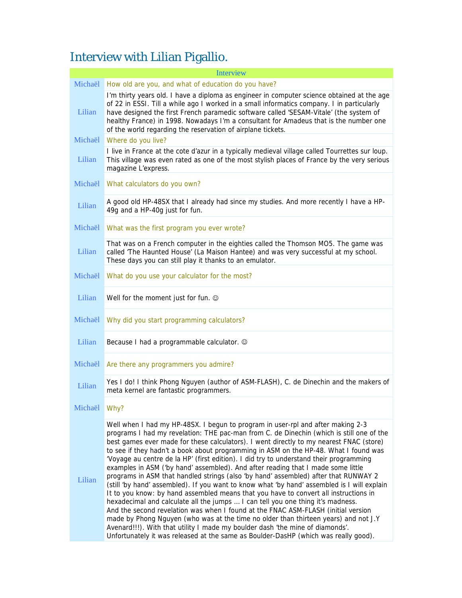# Interview with Lilian Pigallio.

|              | <b>Interview</b>                                                                                                                                                                                                                                                                                                                                                                                                                                                                                                                                                                                                                                                                                                                                                                                                                                                                                                                                                                                                                                                                                                                                                                                                                                                  |
|--------------|-------------------------------------------------------------------------------------------------------------------------------------------------------------------------------------------------------------------------------------------------------------------------------------------------------------------------------------------------------------------------------------------------------------------------------------------------------------------------------------------------------------------------------------------------------------------------------------------------------------------------------------------------------------------------------------------------------------------------------------------------------------------------------------------------------------------------------------------------------------------------------------------------------------------------------------------------------------------------------------------------------------------------------------------------------------------------------------------------------------------------------------------------------------------------------------------------------------------------------------------------------------------|
| Michaël      | How old are you, and what of education do you have?                                                                                                                                                                                                                                                                                                                                                                                                                                                                                                                                                                                                                                                                                                                                                                                                                                                                                                                                                                                                                                                                                                                                                                                                               |
| Lilian       | I'm thirty years old. I have a diploma as engineer in computer science obtained at the age<br>of 22 in ESSI. Till a while ago I worked in a small informatics company. I in particularly<br>have designed the first French paramedic software called 'SESAM-Vitale' (the system of<br>healthy France) in 1998. Nowadays I'm a consultant for Amadeus that is the number one<br>of the world regarding the reservation of airplane tickets.                                                                                                                                                                                                                                                                                                                                                                                                                                                                                                                                                                                                                                                                                                                                                                                                                        |
| Michaël      | Where do you live?                                                                                                                                                                                                                                                                                                                                                                                                                                                                                                                                                                                                                                                                                                                                                                                                                                                                                                                                                                                                                                                                                                                                                                                                                                                |
| Lilian       | I live in France at the cote d'azur in a typically medieval village called Tourrettes sur loup.<br>This village was even rated as one of the most stylish places of France by the very serious<br>magazine L'express.                                                                                                                                                                                                                                                                                                                                                                                                                                                                                                                                                                                                                                                                                                                                                                                                                                                                                                                                                                                                                                             |
| Michaël      | What calculators do you own?                                                                                                                                                                                                                                                                                                                                                                                                                                                                                                                                                                                                                                                                                                                                                                                                                                                                                                                                                                                                                                                                                                                                                                                                                                      |
| Lilian       | A good old HP-48SX that I already had since my studies. And more recently I have a HP-<br>49g and a HP-40g just for fun.                                                                                                                                                                                                                                                                                                                                                                                                                                                                                                                                                                                                                                                                                                                                                                                                                                                                                                                                                                                                                                                                                                                                          |
| Michaël      | What was the first program you ever wrote?                                                                                                                                                                                                                                                                                                                                                                                                                                                                                                                                                                                                                                                                                                                                                                                                                                                                                                                                                                                                                                                                                                                                                                                                                        |
| Lilian       | That was on a French computer in the eighties called the Thomson MO5. The game was<br>called 'The Haunted House' (La Maison Hantee) and was very successful at my school.<br>These days you can still play it thanks to an emulator.                                                                                                                                                                                                                                                                                                                                                                                                                                                                                                                                                                                                                                                                                                                                                                                                                                                                                                                                                                                                                              |
| Michaël      | What do you use your calculator for the most?                                                                                                                                                                                                                                                                                                                                                                                                                                                                                                                                                                                                                                                                                                                                                                                                                                                                                                                                                                                                                                                                                                                                                                                                                     |
| Lilian       | Well for the moment just for fun. ©                                                                                                                                                                                                                                                                                                                                                                                                                                                                                                                                                                                                                                                                                                                                                                                                                                                                                                                                                                                                                                                                                                                                                                                                                               |
| Michaël      | Why did you start programming calculators?                                                                                                                                                                                                                                                                                                                                                                                                                                                                                                                                                                                                                                                                                                                                                                                                                                                                                                                                                                                                                                                                                                                                                                                                                        |
| Lilian       | Because I had a programmable calculator. ©                                                                                                                                                                                                                                                                                                                                                                                                                                                                                                                                                                                                                                                                                                                                                                                                                                                                                                                                                                                                                                                                                                                                                                                                                        |
| Michaël      | Are there any programmers you admire?                                                                                                                                                                                                                                                                                                                                                                                                                                                                                                                                                                                                                                                                                                                                                                                                                                                                                                                                                                                                                                                                                                                                                                                                                             |
| Lilian       | Yes I do! I think Phong Nguyen (author of ASM-FLASH), C. de Dinechin and the makers of<br>meta kernel are fantastic programmers.                                                                                                                                                                                                                                                                                                                                                                                                                                                                                                                                                                                                                                                                                                                                                                                                                                                                                                                                                                                                                                                                                                                                  |
| Michaël Why? |                                                                                                                                                                                                                                                                                                                                                                                                                                                                                                                                                                                                                                                                                                                                                                                                                                                                                                                                                                                                                                                                                                                                                                                                                                                                   |
| Lilian       | Well when I had my HP-48SX. I begun to program in user-rpl and after making 2-3<br>programs I had my revelation: THE pac-man from C. de Dinechin (which is still one of the<br>best games ever made for these calculators). I went directly to my nearest FNAC (store)<br>to see if they hadn't a book about programming in ASM on the HP-48. What I found was<br>'Voyage au centre de la HP' (first edition). I did try to understand their programming<br>examples in ASM ('by hand' assembled). And after reading that I made some little<br>programs in ASM that handled strings (also 'by hand' assembled) after that RUNWAY 2<br>(still 'by hand' assembled). If you want to know what 'by hand' assembled is I will explain<br>It to you know: by hand assembled means that you have to convert all instructions in<br>hexadecimal and calculate all the jumps  I can tell you one thing it's madness.<br>And the second revelation was when I found at the FNAC ASM-FLASH (initial version<br>made by Phong Nguyen (who was at the time no older than thirteen years) and not J.Y<br>Avenard!!!). With that utility I made my boulder dash 'the mine of diamonds'.<br>Unfortunately it was released at the same as Boulder-DasHP (which was really good). |